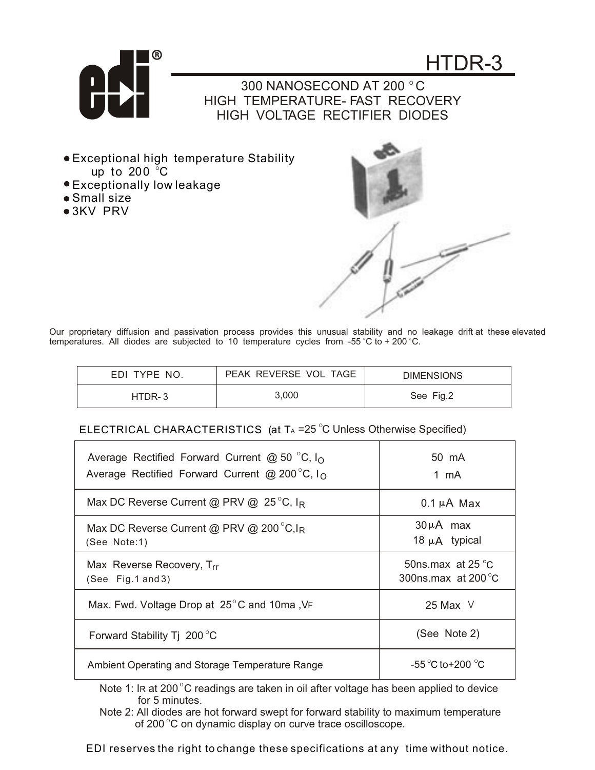

- up to 200  $^\circ\textsf{C}$ Exceptional high temperature Stability
- Exceptionally low leakage
- Small size
- 3KV PRV



temperatures. All diodes are subjected to 10 temperature cycles from -55 °C to + 200 °C. Our proprietary diffusion and passivation process provides this unusual stability and no leakage drift at these elevated

| EDI TYPE NO. | PEAK REVERSE VOL TAGE | <b>DIMENSIONS</b> |
|--------------|-----------------------|-------------------|
| HTDR-3       | 3.000                 | See Fig.2         |

## ELECTRICAL CHARACTERISTICS (at  $T_A = 25$  °C Unless Otherwise Specified)

| Average Rectified Forward Current @ 50 °C, $I_{\Omega}$<br>Average Rectified Forward Current @ 200 $^{\circ}$ C, I <sub>O</sub> | 50 mA<br>1 mA                                              |
|---------------------------------------------------------------------------------------------------------------------------------|------------------------------------------------------------|
| Max DC Reverse Current @ PRV @ 25 $^{\circ}$ C, I <sub>R</sub>                                                                  | $0.1 \mu A$ Max                                            |
| Max DC Reverse Current @ PRV @ 200 $^{\circ}$ C, I <sub>R</sub><br>(See Note:1)                                                 | $30\mu A$ max<br>18 $\mu$ A typical                        |
| Max Reverse Recovery, Trr<br>(See Fig.1 and 3)                                                                                  | 50ns.max at 25 $\degree$ C<br>300ns.max at 200 $\degree$ C |
| Max. Fwd. Voltage Drop at 25°C and 10ma, VF                                                                                     | 25 Max $\vee$                                              |
| Forward Stability Tj 200 °C                                                                                                     | (See Note 2)                                               |
| Ambient Operating and Storage Temperature Range                                                                                 | $-55^{\circ}$ C to + 200 $^{\circ}$ C.                     |

Note 1: IR at 200 $^{\circ}$ C readings are taken in oil after voltage has been applied to device for 5 minutes.

Note 2: All diodes are hot forward swept for forward stability to maximum temperature of 200 $\degree$ C on dynamic display on curve trace oscilloscope.

EDI reserves the right to change these specifications at any time without notice.